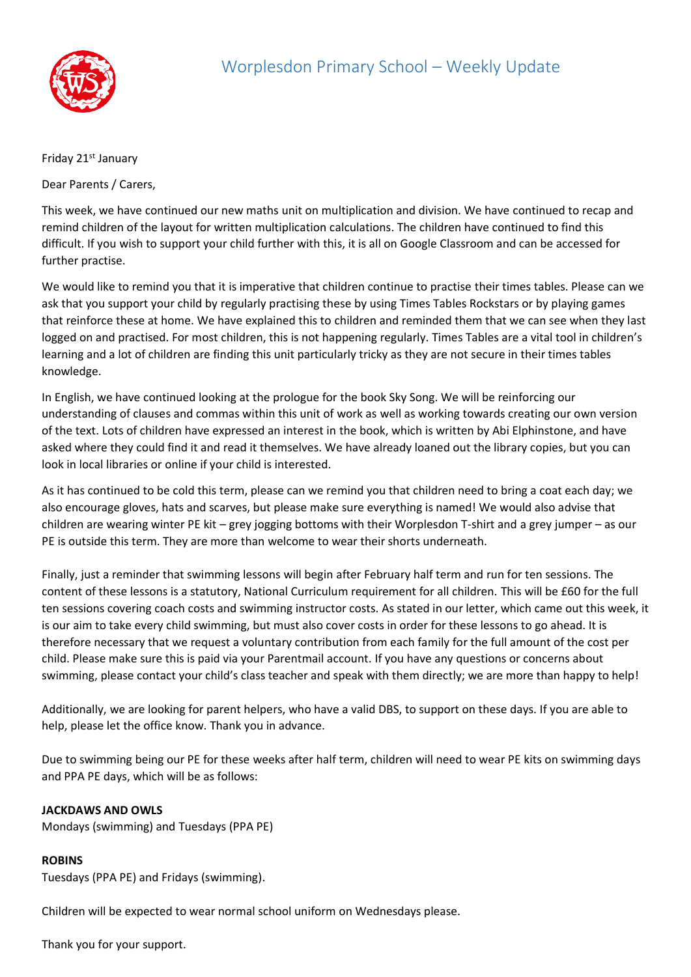

## Friday 21<sup>st</sup> January

Dear Parents / Carers,

This week, we have continued our new maths unit on multiplication and division. We have continued to recap and remind children of the layout for written multiplication calculations. The children have continued to find this difficult. If you wish to support your child further with this, it is all on Google Classroom and can be accessed for further practise.

We would like to remind you that it is imperative that children continue to practise their times tables. Please can we ask that you support your child by regularly practising these by using Times Tables Rockstars or by playing games that reinforce these at home. We have explained this to children and reminded them that we can see when they last logged on and practised. For most children, this is not happening regularly. Times Tables are a vital tool in children's learning and a lot of children are finding this unit particularly tricky as they are not secure in their times tables knowledge.

In English, we have continued looking at the prologue for the book Sky Song. We will be reinforcing our understanding of clauses and commas within this unit of work as well as working towards creating our own version of the text. Lots of children have expressed an interest in the book, which is written by Abi Elphinstone, and have asked where they could find it and read it themselves. We have already loaned out the library copies, but you can look in local libraries or online if your child is interested.

As it has continued to be cold this term, please can we remind you that children need to bring a coat each day; we also encourage gloves, hats and scarves, but please make sure everything is named! We would also advise that children are wearing winter PE kit – grey jogging bottoms with their Worplesdon T-shirt and a grey jumper – as our PE is outside this term. They are more than welcome to wear their shorts underneath.

Finally, just a reminder that swimming lessons will begin after February half term and run for ten sessions. The content of these lessons is a statutory, National Curriculum requirement for all children. This will be £60 for the full ten sessions covering coach costs and swimming instructor costs. As stated in our letter, which came out this week, it is our aim to take every child swimming, but must also cover costs in order for these lessons to go ahead. It is therefore necessary that we request a voluntary contribution from each family for the full amount of the cost per child. Please make sure this is paid via your Parentmail account. If you have any questions or concerns about swimming, please contact your child's class teacher and speak with them directly; we are more than happy to help!

Additionally, we are looking for parent helpers, who have a valid DBS, to support on these days. If you are able to help, please let the office know. Thank you in advance.

Due to swimming being our PE for these weeks after half term, children will need to wear PE kits on swimming days and PPA PE days, which will be as follows:

## **JACKDAWS AND OWLS**

Mondays (swimming) and Tuesdays (PPA PE)

## **ROBINS**

Tuesdays (PPA PE) and Fridays (swimming).

Children will be expected to wear normal school uniform on Wednesdays please.

Thank you for your support.